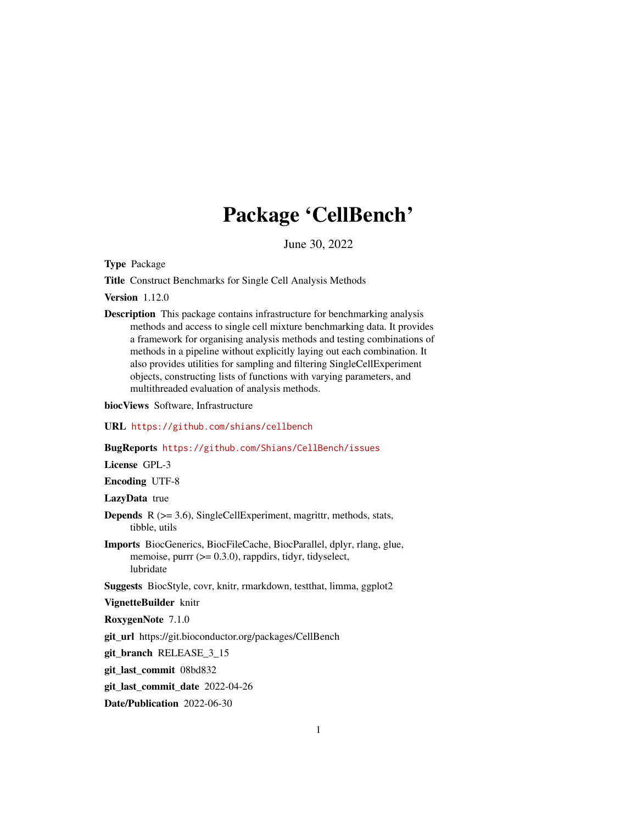# Package 'CellBench'

June 30, 2022

<span id="page-0-0"></span>Type Package

Title Construct Benchmarks for Single Cell Analysis Methods

Version 1.12.0

Description This package contains infrastructure for benchmarking analysis methods and access to single cell mixture benchmarking data. It provides a framework for organising analysis methods and testing combinations of methods in a pipeline without explicitly laying out each combination. It also provides utilities for sampling and filtering SingleCellExperiment objects, constructing lists of functions with varying parameters, and multithreaded evaluation of analysis methods.

biocViews Software, Infrastructure

URL <https://github.com/shians/cellbench>

BugReports <https://github.com/Shians/CellBench/issues>

License GPL-3

Encoding UTF-8

LazyData true

- **Depends**  $R$  ( $>= 3.6$ ), SingleCellExperiment, magrittr, methods, stats, tibble, utils
- Imports BiocGenerics, BiocFileCache, BiocParallel, dplyr, rlang, glue, memoise, purrr (>= 0.3.0), rappdirs, tidyr, tidyselect, lubridate

Suggests BiocStyle, covr, knitr, rmarkdown, testthat, limma, ggplot2

VignetteBuilder knitr

RoxygenNote 7.1.0

git\_url https://git.bioconductor.org/packages/CellBench

git branch RELEASE 3 15

git\_last\_commit 08bd832

git\_last\_commit\_date 2022-04-26

Date/Publication 2022-06-30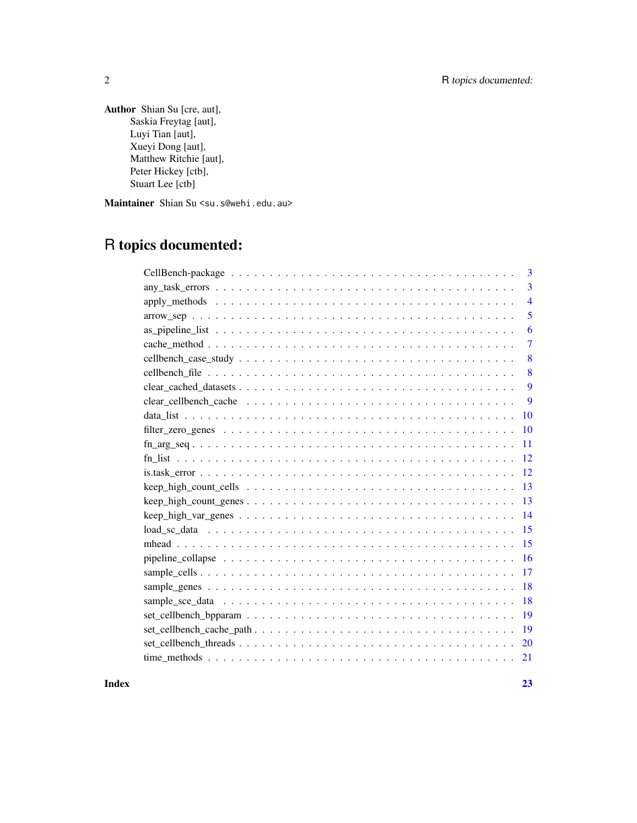# 2 R topics documented:

Author Shian Su [cre, aut], Saskia Freytag [aut], Luyi Tian [aut], Xueyi Dong [aut], Matthew Ritchie [aut], Peter Hickey [ctb], Stuart Lee [ctb]

Maintainer Shian Su <su.s@wehi.edu.au>

# R topics documented:

|                                                                                                       | 3              |
|-------------------------------------------------------------------------------------------------------|----------------|
|                                                                                                       | 3              |
|                                                                                                       | $\overline{4}$ |
|                                                                                                       | 5              |
|                                                                                                       | 6              |
|                                                                                                       | 7              |
|                                                                                                       | 8              |
|                                                                                                       | 8              |
|                                                                                                       | 9              |
|                                                                                                       | 9              |
|                                                                                                       | 10             |
|                                                                                                       | <b>10</b>      |
|                                                                                                       | 11             |
|                                                                                                       | 12             |
|                                                                                                       | 12             |
|                                                                                                       | 13             |
|                                                                                                       | 13             |
| $keep\_high\_var\_genes \ldots \ldots \ldots \ldots \ldots \ldots \ldots \ldots \ldots \ldots \ldots$ | 14             |
|                                                                                                       | 15             |
|                                                                                                       |                |
|                                                                                                       | 16             |
|                                                                                                       | 17             |
|                                                                                                       | 18             |
|                                                                                                       | 18             |
|                                                                                                       | 19             |
|                                                                                                       | 19             |
|                                                                                                       | -20            |
|                                                                                                       | 21             |
|                                                                                                       |                |

**Index** [23](#page-22-0)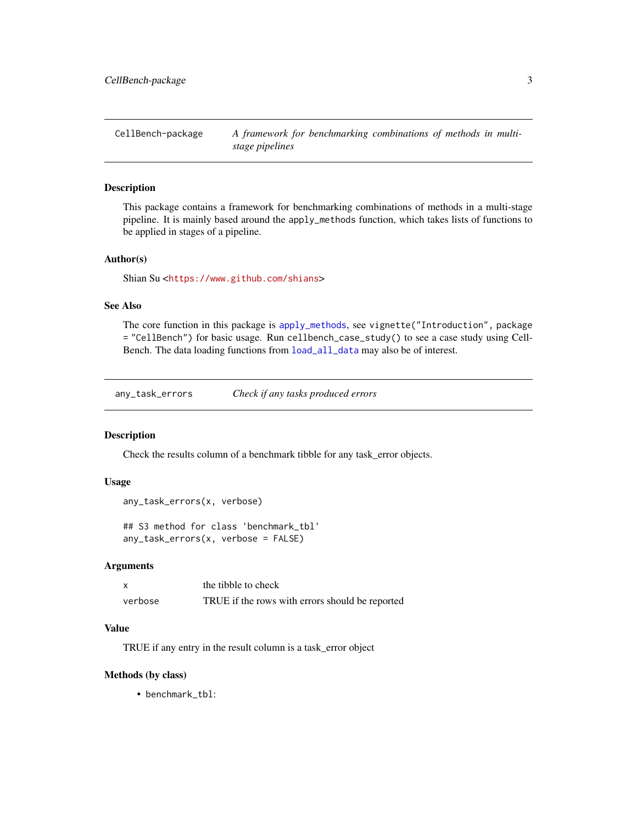<span id="page-2-0"></span>CellBench-package *A framework for benchmarking combinations of methods in multistage pipelines*

# Description

This package contains a framework for benchmarking combinations of methods in a multi-stage pipeline. It is mainly based around the apply\_methods function, which takes lists of functions to be applied in stages of a pipeline.

#### Author(s)

Shian Su <<https://www.github.com/shians>>

# See Also

The core function in this package is [apply\\_methods](#page-3-1), see vignette("Introduction", package = "CellBench") for basic usage. Run cellbench\_case\_study() to see a case study using Cell-Bench. The data loading functions from [load\\_all\\_data](#page-14-1) may also be of interest.

any\_task\_errors *Check if any tasks produced errors*

#### Description

Check the results column of a benchmark tibble for any task\_error objects.

#### Usage

```
any_task_errors(x, verbose)
```
## S3 method for class 'benchmark\_tbl' any\_task\_errors(x, verbose = FALSE)

# Arguments

|         | the tibble to check                             |
|---------|-------------------------------------------------|
| verbose | TRUE if the rows with errors should be reported |

#### Value

TRUE if any entry in the result column is a task\_error object

#### Methods (by class)

• benchmark\_tbl: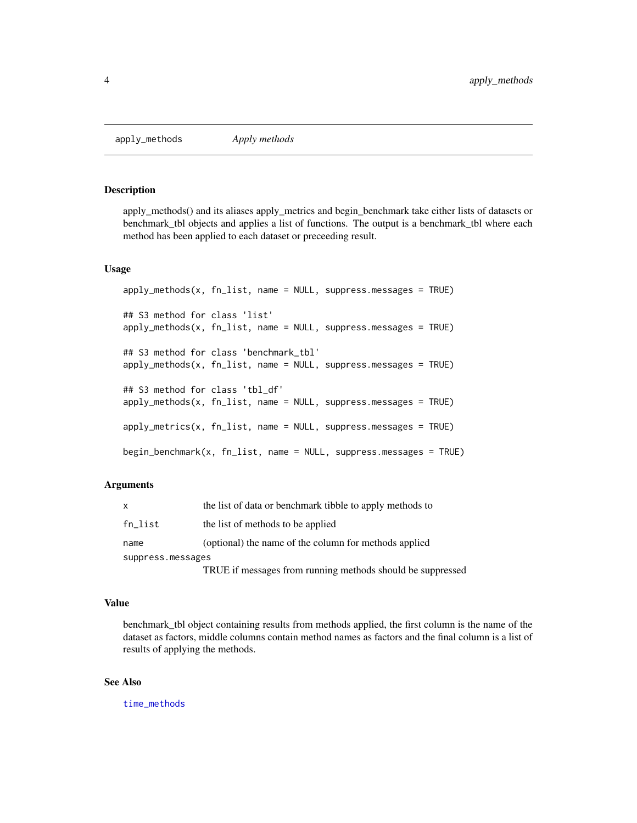<span id="page-3-1"></span><span id="page-3-0"></span>apply\_methods *Apply methods*

# Description

apply\_methods() and its aliases apply\_metrics and begin\_benchmark take either lists of datasets or benchmark\_tbl objects and applies a list of functions. The output is a benchmark\_tbl where each method has been applied to each dataset or preceeding result.

#### Usage

```
apply_methods(x, fn_list, name = NULL, suppress.messages = TRUE)
## S3 method for class 'list'
apply_methods(x, fn_list, name = NULL, suppress.messages = TRUE)
## S3 method for class 'benchmark_tbl'
apply_methods(x, fn_list, name = NULL, suppress.message = TRUE)## S3 method for class 'tbl_df'
apply_methods(x, fn_list, name = NULL, suppress.messages = TRUE)
apply_metrics(x, fn\_list, name = NULL, suppress.message = TRUE)begin_benchmark(x, fn_list, name = NULL, suppress.messages = TRUE)
```
#### Arguments

| X                 | the list of data or benchmark tibble to apply methods to   |
|-------------------|------------------------------------------------------------|
| $fn\_list$        | the list of methods to be applied                          |
| name              | (optional) the name of the column for methods applied      |
| suppress.messages |                                                            |
|                   | TRUE if messages from running methods should be suppressed |

#### Value

benchmark\_tbl object containing results from methods applied, the first column is the name of the dataset as factors, middle columns contain method names as factors and the final column is a list of results of applying the methods.

#### See Also

[time\\_methods](#page-20-1)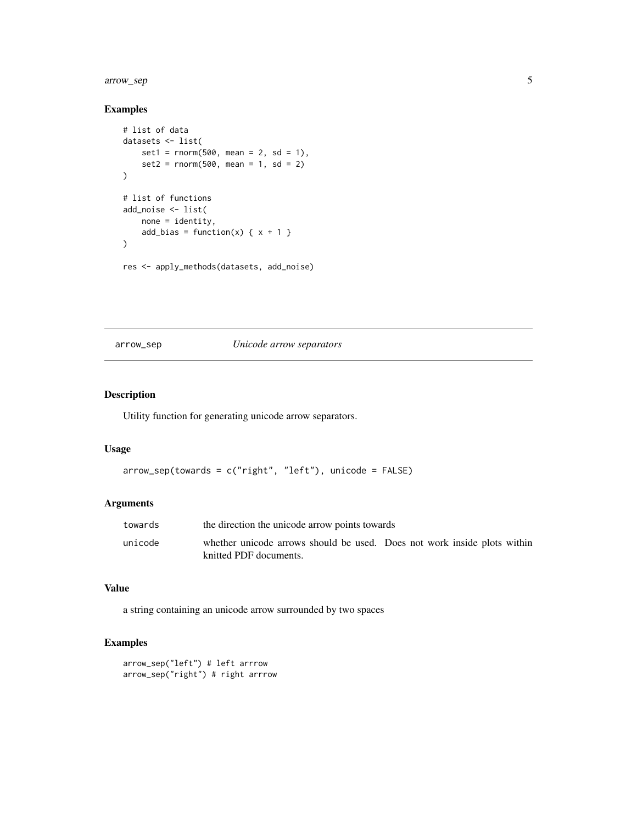# <span id="page-4-0"></span>arrow\_sep 5

# Examples

```
# list of data
datasets <- list(
   set1 = rnorm(500, mean = 2, sd = 1),set2 = rnorm(500, mean = 1, sd = 2))
# list of functions
add_noise <- list(
   none = identity,
   add_bias = function(x) { x + 1 }
)
res <- apply_methods(datasets, add_noise)
```
arrow\_sep *Unicode arrow separators*

# Description

Utility function for generating unicode arrow separators.

#### Usage

```
arrow_sep(towards = c("right", "left"), unicode = FALSE)
```
# Arguments

| towards | the direction the unicode arrow points towards                                                     |  |
|---------|----------------------------------------------------------------------------------------------------|--|
| unicode | whether unicode arrows should be used. Does not work inside plots within<br>knitted PDF documents. |  |

#### Value

a string containing an unicode arrow surrounded by two spaces

```
arrow_sep("left") # left arrrow
arrow_sep("right") # right arrrow
```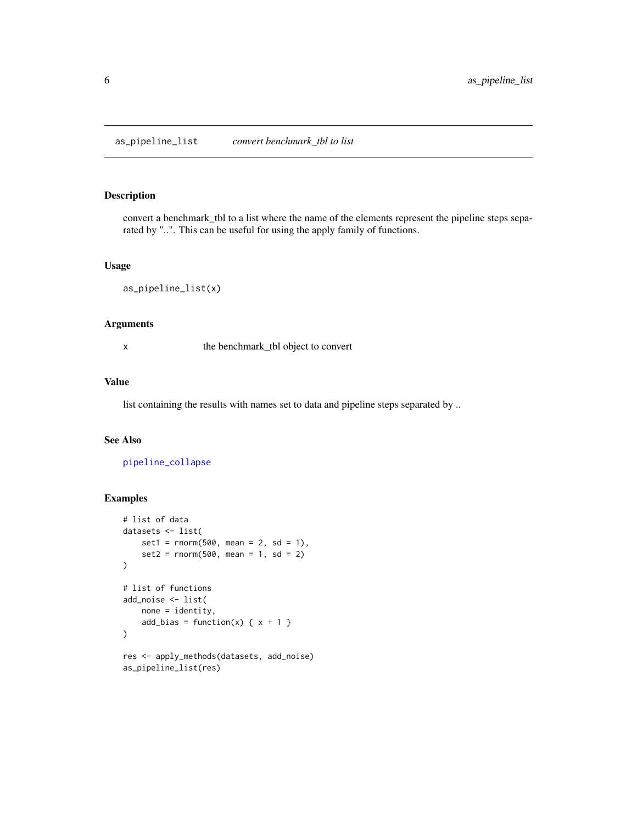<span id="page-5-1"></span><span id="page-5-0"></span>convert a benchmark\_tbl to a list where the name of the elements represent the pipeline steps separated by "..". This can be useful for using the apply family of functions.

#### Usage

```
as_pipeline_list(x)
```
#### Arguments

x the benchmark\_tbl object to convert

#### Value

list containing the results with names set to data and pipeline steps separated by ..

# See Also

[pipeline\\_collapse](#page-15-1)

as\_pipeline\_list(res)

```
# list of data
datasets <- list(
    set1 = rnorm(500, mean = 2, sd = 1),set2 = rnorm(500, mean = 1, sd = 2)\lambda# list of functions
add_noise <- list(
   none = identity,
    add_bias = function(x) { x + 1 }
)
res <- apply_methods(datasets, add_noise)
```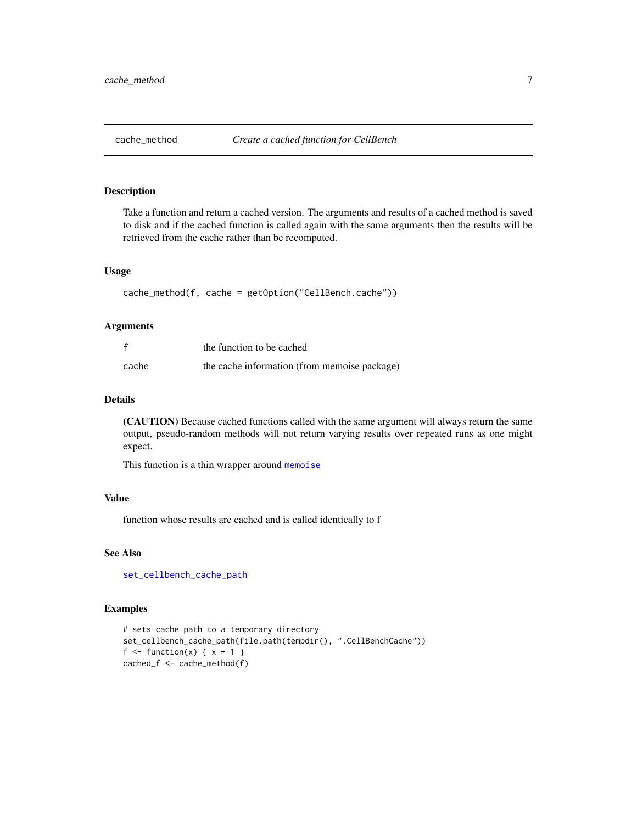<span id="page-6-1"></span><span id="page-6-0"></span>

Take a function and return a cached version. The arguments and results of a cached method is saved to disk and if the cached function is called again with the same arguments then the results will be retrieved from the cache rather than be recomputed.

#### Usage

```
cache_method(f, cache = getOption("CellBench.cache"))
```
# Arguments

|       | the function to be cached                    |
|-------|----------------------------------------------|
| cache | the cache information (from memoise package) |

# Details

(CAUTION) Because cached functions called with the same argument will always return the same output, pseudo-random methods will not return varying results over repeated runs as one might expect.

This function is a thin wrapper around [memoise](#page-0-0)

#### Value

function whose results are cached and is called identically to f

# See Also

[set\\_cellbench\\_cache\\_path](#page-18-1)

```
# sets cache path to a temporary directory
set_cellbench_cache_path(file.path(tempdir(), ".CellBenchCache"))
f \leftarrow function(x) \{ x + 1 \}cached_f <- cache_method(f)
```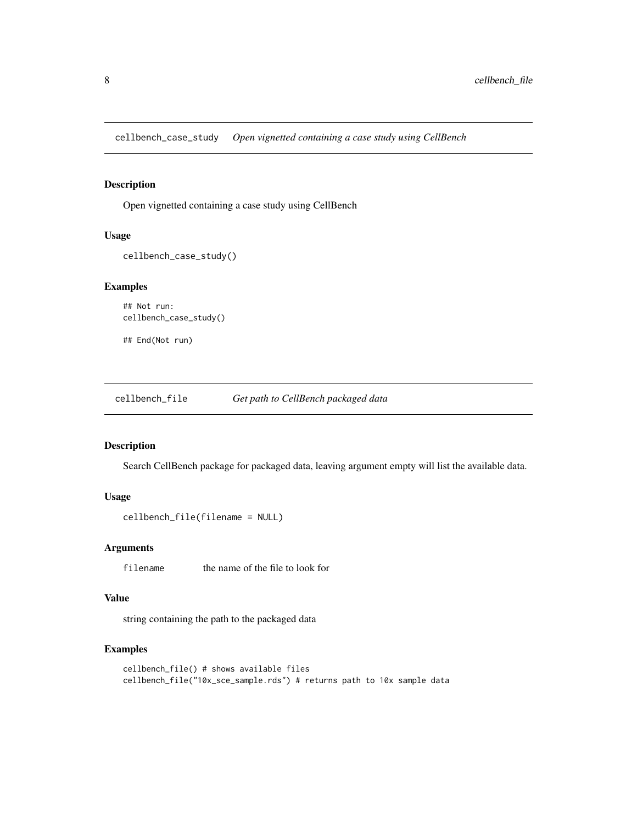<span id="page-7-0"></span>cellbench\_case\_study *Open vignetted containing a case study using CellBench*

# Description

Open vignetted containing a case study using CellBench

#### Usage

```
cellbench_case_study()
```
## Examples

```
## Not run:
cellbench_case_study()
```
## End(Not run)

cellbench\_file *Get path to CellBench packaged data*

# Description

Search CellBench package for packaged data, leaving argument empty will list the available data.

# Usage

```
cellbench_file(filename = NULL)
```
# Arguments

filename the name of the file to look for

# Value

string containing the path to the packaged data

```
cellbench_file() # shows available files
cellbench_file("10x_sce_sample.rds") # returns path to 10x sample data
```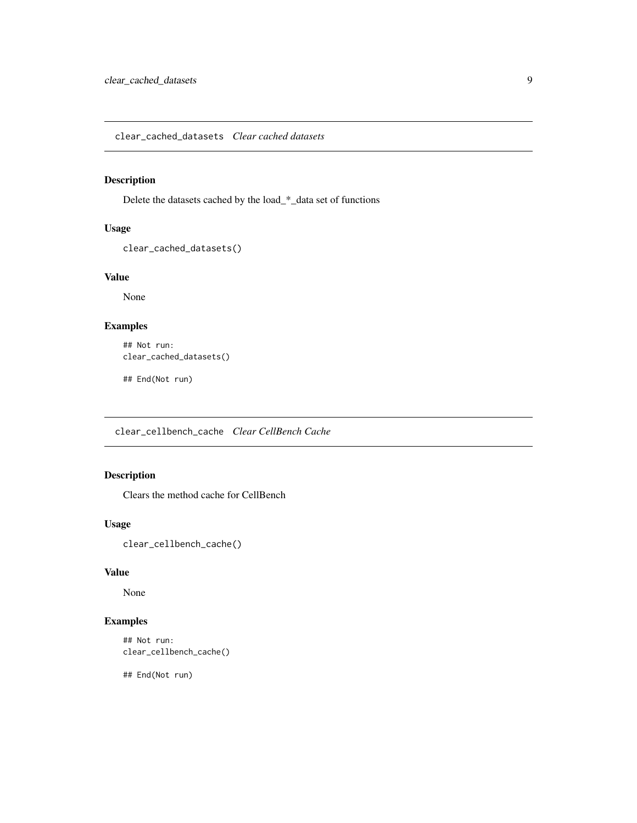<span id="page-8-0"></span>clear\_cached\_datasets *Clear cached datasets*

# Description

Delete the datasets cached by the load\_\*\_data set of functions

# Usage

```
clear_cached_datasets()
```
# Value

None

# Examples

```
## Not run:
clear_cached_datasets()
```
## End(Not run)

clear\_cellbench\_cache *Clear CellBench Cache*

# Description

Clears the method cache for CellBench

#### Usage

```
clear_cellbench_cache()
```
# Value

None

# Examples

```
## Not run:
clear_cellbench_cache()
```
## End(Not run)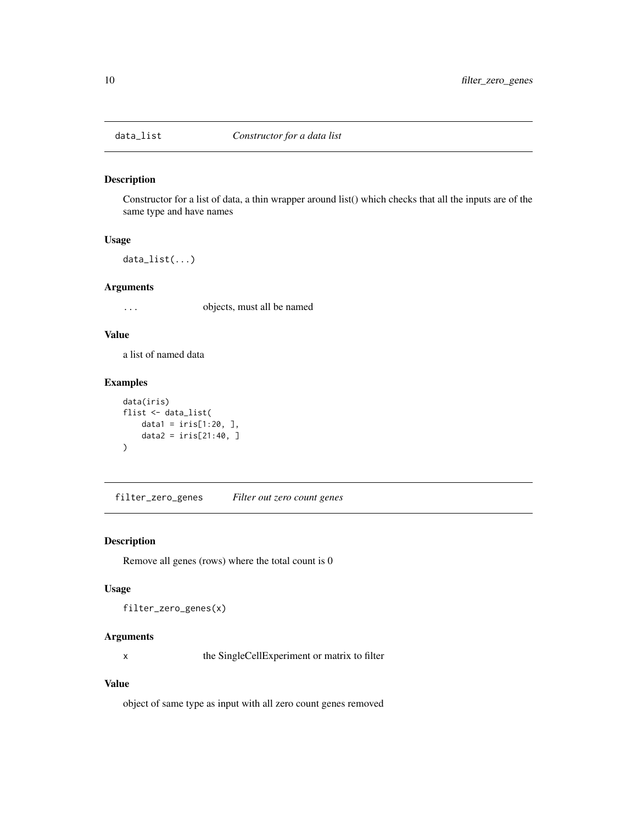<span id="page-9-0"></span>

Constructor for a list of data, a thin wrapper around list() which checks that all the inputs are of the same type and have names

# Usage

data\_list(...)

#### Arguments

... objects, must all be named

#### Value

a list of named data

# Examples

```
data(iris)
flist <- data_list(
    data1 = \text{iris}[1:20, 1],
    data2 = iris[21:40, ]
)
```
filter\_zero\_genes *Filter out zero count genes*

#### Description

Remove all genes (rows) where the total count is 0

# Usage

```
filter_zero_genes(x)
```
# Arguments

x the SingleCellExperiment or matrix to filter

# Value

object of same type as input with all zero count genes removed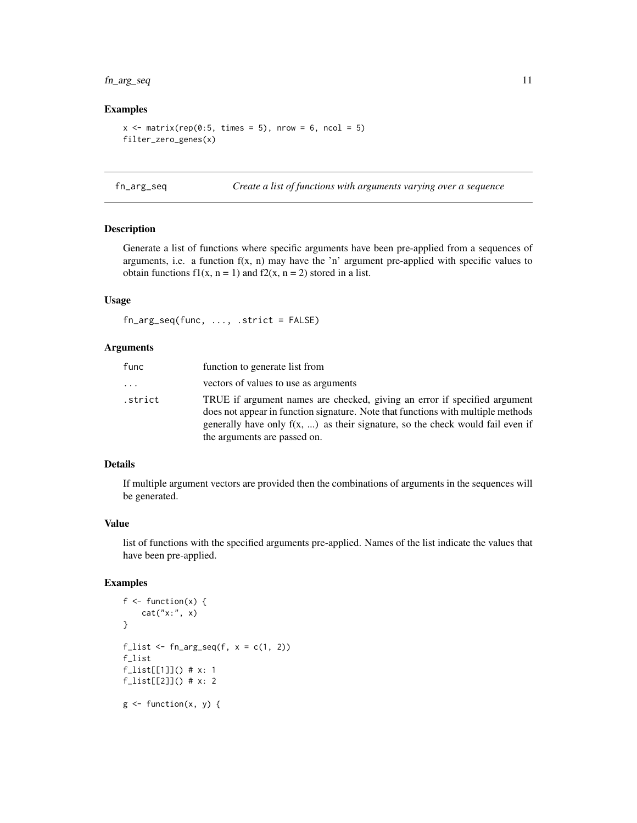# <span id="page-10-0"></span>fn\_arg\_seq 11

#### Examples

```
x \le matrix(rep(0:5, times = 5), nrow = 6, ncol = 5)
filter_zero_genes(x)
```
fn\_arg\_seq *Create a list of functions with arguments varying over a sequence*

# Description

Generate a list of functions where specific arguments have been pre-applied from a sequences of arguments, i.e. a function  $f(x, n)$  may have the 'n' argument pre-applied with specific values to obtain functions  $f(x, n = 1)$  and  $f(x, n = 2)$  stored in a list.

#### Usage

fn\_arg\_seq(func, ..., .strict = FALSE)

#### Arguments

| func    | function to generate list from                                                                                                                                                                                                                                                          |
|---------|-----------------------------------------------------------------------------------------------------------------------------------------------------------------------------------------------------------------------------------------------------------------------------------------|
| .       | vectors of values to use as arguments                                                                                                                                                                                                                                                   |
| .strict | TRUE if argument names are checked, giving an error if specified argument<br>does not appear in function signature. Note that functions with multiple methods<br>generally have only $f(x, \ldots)$ as their signature, so the check would fail even if<br>the arguments are passed on. |

#### Details

If multiple argument vectors are provided then the combinations of arguments in the sequences will be generated.

#### Value

list of functions with the specified arguments pre-applied. Names of the list indicate the values that have been pre-applied.

```
f \leftarrow function(x) {
    cat("x:", x)
}
f_list \leftarrow fn_arg_seq(f, x = c(1, 2))
f_list
f_list[[1]]() # x: 1
f_list[[2]]() # x: 2
g \leftarrow function(x, y) {
```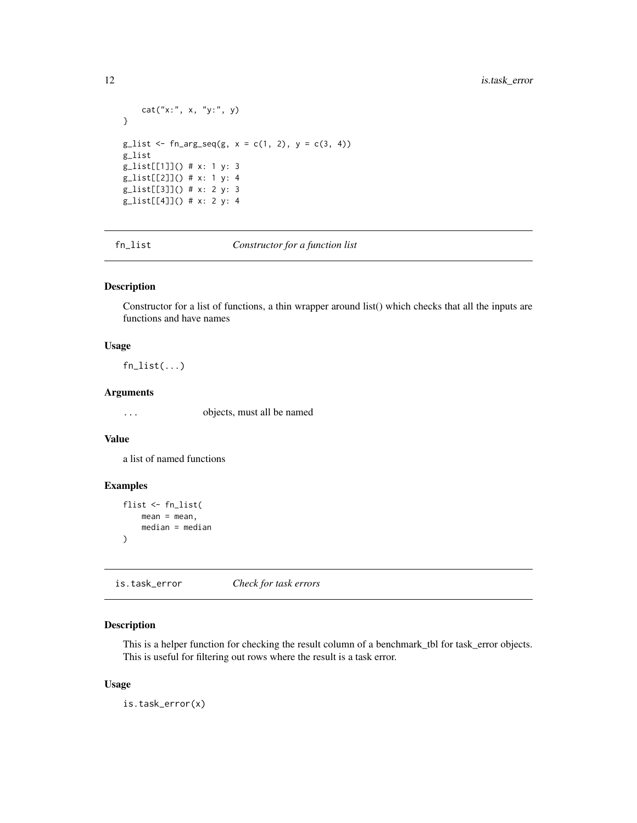```
cat("x:", x, "y:", y)
}
g_{\text{hist}} < -f_{\text{n}_{\text{ang\_seq}}(g, x = c(1, 2), y = c(3, 4))g_list
g_list[[1]]() # x: 1 y: 3
g_list[[2]]() # x: 1 y: 4
g_list[[3]]() # x: 2 y: 3
g_list[[4]]() # x: 2 y: 4
```
fn\_list *Constructor for a function list*

# Description

Constructor for a list of functions, a thin wrapper around list() which checks that all the inputs are functions and have names

#### Usage

fn\_list(...)

#### Arguments

... objects, must all be named

# Value

a list of named functions

# Examples

```
flist <- fn_list(
    mean = mean,
    median = median
\mathcal{L}
```
is.task\_error *Check for task errors*

# Description

This is a helper function for checking the result column of a benchmark\_tbl for task\_error objects. This is useful for filtering out rows where the result is a task error.

#### Usage

is.task\_error(x)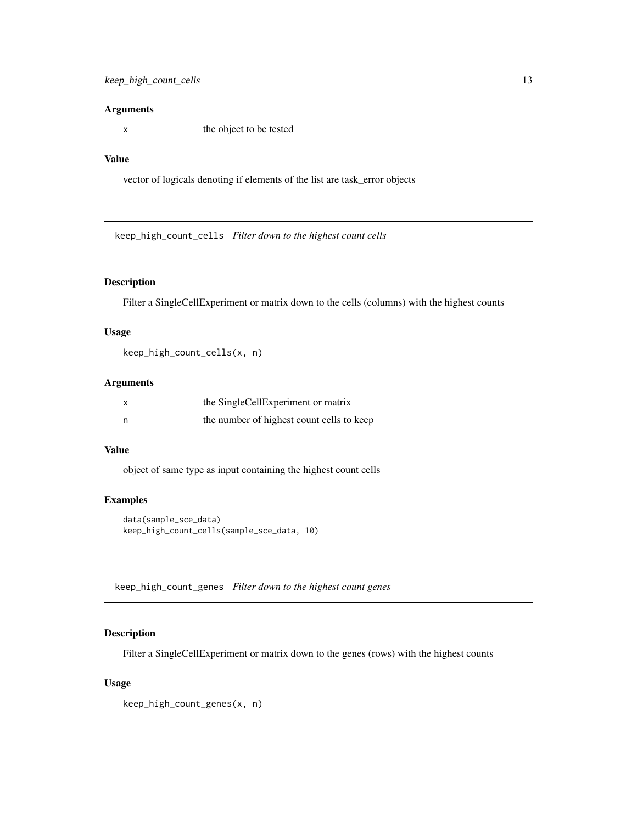#### <span id="page-12-0"></span>Arguments

x the object to be tested

# Value

vector of logicals denoting if elements of the list are task\_error objects

keep\_high\_count\_cells *Filter down to the highest count cells*

# Description

Filter a SingleCellExperiment or matrix down to the cells (columns) with the highest counts

# Usage

keep\_high\_count\_cells(x, n)

# Arguments

| x | the SingleCellExperiment or matrix        |
|---|-------------------------------------------|
| n | the number of highest count cells to keep |

#### Value

object of same type as input containing the highest count cells

# Examples

```
data(sample_sce_data)
keep_high_count_cells(sample_sce_data, 10)
```
keep\_high\_count\_genes *Filter down to the highest count genes*

#### Description

Filter a SingleCellExperiment or matrix down to the genes (rows) with the highest counts

#### Usage

keep\_high\_count\_genes(x, n)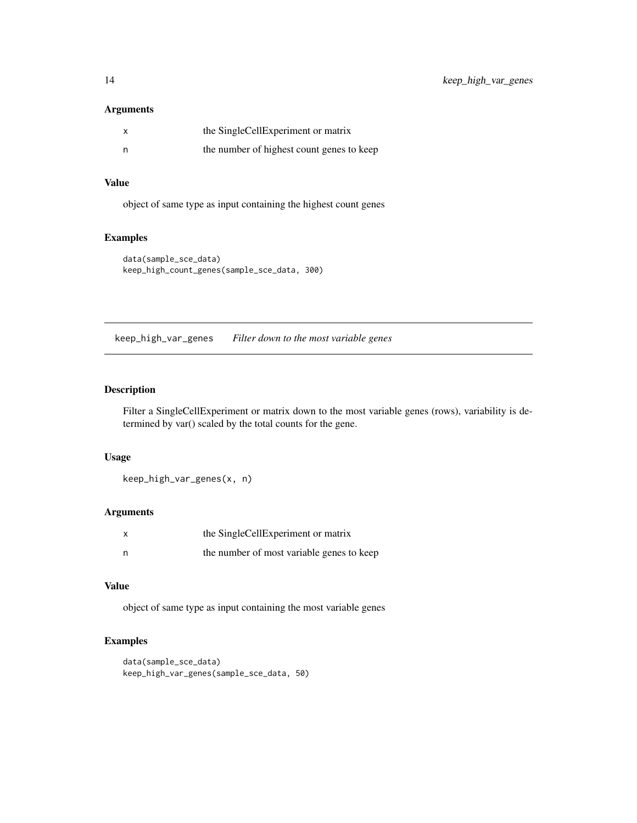# <span id="page-13-0"></span>Arguments

| x | the SingleCellExperiment or matrix        |
|---|-------------------------------------------|
|   | the number of highest count genes to keep |

# Value

object of same type as input containing the highest count genes

# Examples

```
data(sample_sce_data)
keep_high_count_genes(sample_sce_data, 300)
```
keep\_high\_var\_genes *Filter down to the most variable genes*

# Description

Filter a SingleCellExperiment or matrix down to the most variable genes (rows), variability is determined by var() scaled by the total counts for the gene.

# Usage

keep\_high\_var\_genes(x, n)

#### Arguments

| $\boldsymbol{\mathsf{x}}$ | the SingleCellExperiment or matrix        |
|---------------------------|-------------------------------------------|
| n                         | the number of most variable genes to keep |

# Value

object of same type as input containing the most variable genes

```
data(sample_sce_data)
keep_high_var_genes(sample_sce_data, 50)
```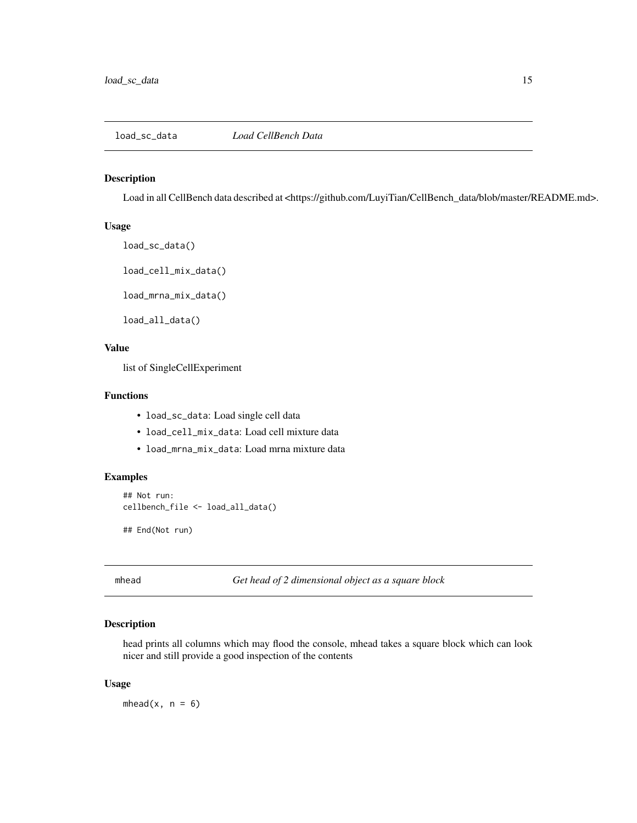<span id="page-14-1"></span><span id="page-14-0"></span>

Load in all CellBench data described at <https://github.com/LuyiTian/CellBench\_data/blob/master/README.md>.

#### Usage

```
load_sc_data()
```
load\_cell\_mix\_data()

load\_mrna\_mix\_data()

load\_all\_data()

# Value

list of SingleCellExperiment

# Functions

- load\_sc\_data: Load single cell data
- load\_cell\_mix\_data: Load cell mixture data
- load\_mrna\_mix\_data: Load mrna mixture data

#### Examples

```
## Not run:
cellbench_file <- load_all_data()
```
## End(Not run)

mhead *Get head of 2 dimensional object as a square block*

# Description

head prints all columns which may flood the console, mhead takes a square block which can look nicer and still provide a good inspection of the contents

#### Usage

mhead $(x, n = 6)$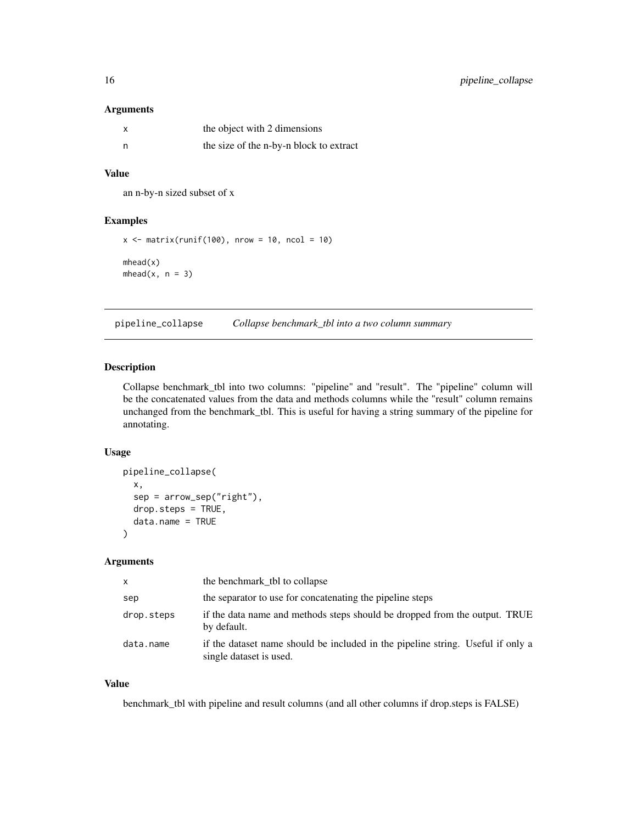# <span id="page-15-0"></span>Arguments

| x   | the object with 2 dimensions            |
|-----|-----------------------------------------|
| - n | the size of the n-by-n block to extract |

# Value

an n-by-n sized subset of x

#### Examples

```
x \le matrix(runif(100), nrow = 10, ncol = 10)
mhead(x)
mhead(x, n = 3)
```
<span id="page-15-1"></span>pipeline\_collapse *Collapse benchmark\_tbl into a two column summary*

# Description

Collapse benchmark\_tbl into two columns: "pipeline" and "result". The "pipeline" column will be the concatenated values from the data and methods columns while the "result" column remains unchanged from the benchmark\_tbl. This is useful for having a string summary of the pipeline for annotating.

#### Usage

```
pipeline_collapse(
  x,
  sep = arrow_sep("right"),
 drop.steps = TRUE,
  data.name = TRUE
)
```
#### Arguments

| X          | the benchmark_tbl to collapse                                                                              |
|------------|------------------------------------------------------------------------------------------------------------|
| sep        | the separator to use for concatenating the pipeline steps                                                  |
| drop.steps | if the data name and methods steps should be dropped from the output. TRUE<br>by default.                  |
| data.name  | if the dataset name should be included in the pipeline string. Useful if only a<br>single dataset is used. |

# Value

benchmark\_tbl with pipeline and result columns (and all other columns if drop.steps is FALSE)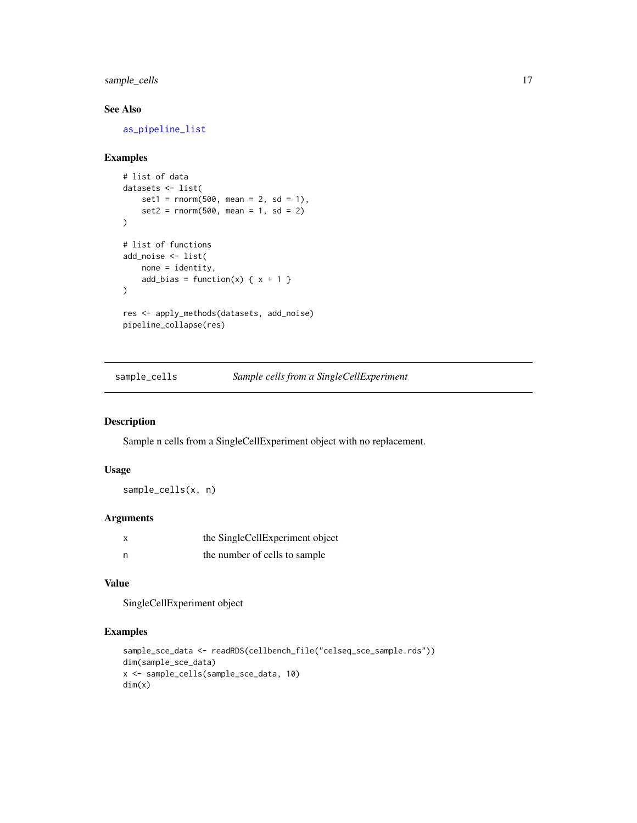<span id="page-16-0"></span>sample\_cells 17

# See Also

[as\\_pipeline\\_list](#page-5-1)

# Examples

```
# list of data
datasets <- list(
   set1 = rnorm(500, mean = 2, sd = 1),set2 = rnorm(500, mean = 1, sd = 2)\lambda# list of functions
add_noise <- list(
   none = identity,
    add_bias = function(x) { x + 1 }
)
res <- apply_methods(datasets, add_noise)
pipeline_collapse(res)
```
sample\_cells *Sample cells from a SingleCellExperiment*

# Description

Sample n cells from a SingleCellExperiment object with no replacement.

# Usage

sample\_cells(x, n)

#### Arguments

|   | the SingleCellExperiment object |
|---|---------------------------------|
| n | the number of cells to sample   |

# Value

SingleCellExperiment object

```
sample_sce_data <- readRDS(cellbench_file("celseq_sce_sample.rds"))
dim(sample_sce_data)
x <- sample_cells(sample_sce_data, 10)
dim(x)
```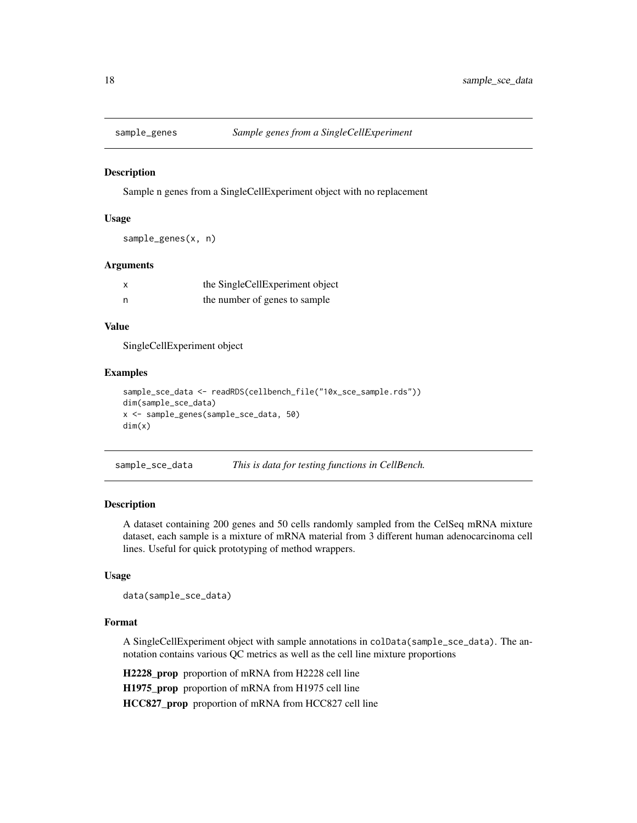<span id="page-17-0"></span>

Sample n genes from a SingleCellExperiment object with no replacement

#### Usage

```
sample_genes(x, n)
```
#### Arguments

| $\boldsymbol{\mathsf{x}}$ | the SingleCellExperiment object |
|---------------------------|---------------------------------|
| n                         | the number of genes to sample   |

#### Value

SingleCellExperiment object

#### Examples

```
sample_sce_data <- readRDS(cellbench_file("10x_sce_sample.rds"))
dim(sample_sce_data)
x <- sample_genes(sample_sce_data, 50)
dim(x)
```
sample\_sce\_data *This is data for testing functions in CellBench.*

#### Description

A dataset containing 200 genes and 50 cells randomly sampled from the CelSeq mRNA mixture dataset, each sample is a mixture of mRNA material from 3 different human adenocarcinoma cell lines. Useful for quick prototyping of method wrappers.

#### Usage

data(sample\_sce\_data)

# Format

A SingleCellExperiment object with sample annotations in colData(sample\_sce\_data). The annotation contains various QC metrics as well as the cell line mixture proportions

H2228\_prop proportion of mRNA from H2228 cell line H1975\_prop proportion of mRNA from H1975 cell line HCC827\_prop proportion of mRNA from HCC827 cell line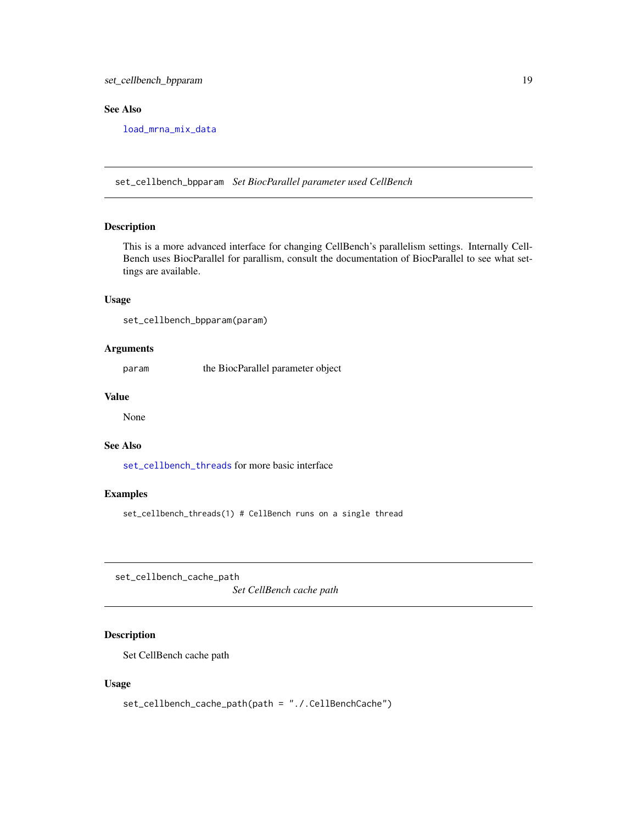# <span id="page-18-0"></span>set\_cellbench\_bpparam 19

# See Also

[load\\_mrna\\_mix\\_data](#page-14-1)

<span id="page-18-2"></span>set\_cellbench\_bpparam *Set BiocParallel parameter used CellBench*

# Description

This is a more advanced interface for changing CellBench's parallelism settings. Internally Cell-Bench uses BiocParallel for parallism, consult the documentation of BiocParallel to see what settings are available.

# Usage

set\_cellbench\_bpparam(param)

# Arguments

param the BiocParallel parameter object

#### Value

None

# See Also

[set\\_cellbench\\_threads](#page-19-1) for more basic interface

#### Examples

set\_cellbench\_threads(1) # CellBench runs on a single thread

<span id="page-18-1"></span>set\_cellbench\_cache\_path

*Set CellBench cache path*

# Description

Set CellBench cache path

#### Usage

```
set_cellbench_cache_path(path = "./.CellBenchCache")
```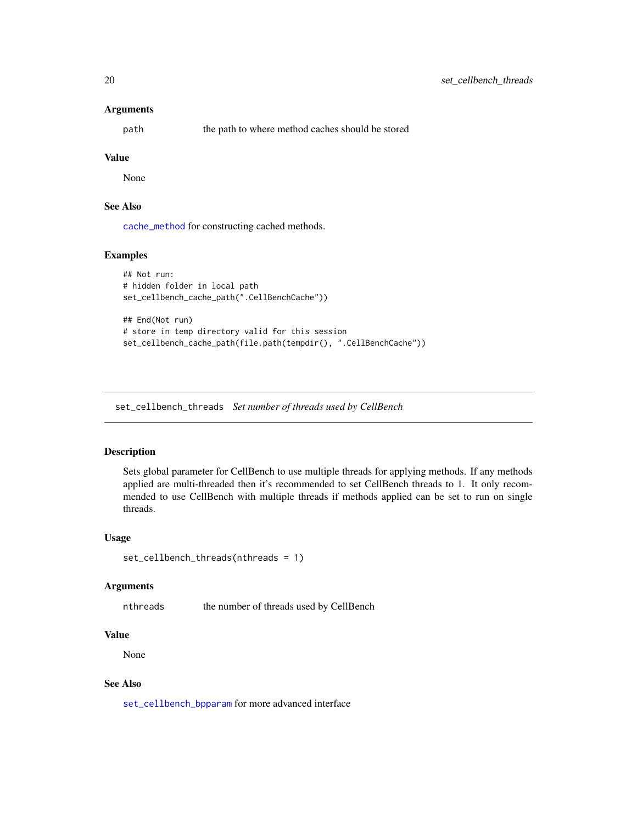#### <span id="page-19-0"></span>Arguments

path the path to where method caches should be stored

# Value

None

# See Also

[cache\\_method](#page-6-1) for constructing cached methods.

#### Examples

```
## Not run:
# hidden folder in local path
set_cellbench_cache_path(".CellBenchCache"))
## End(Not run)
# store in temp directory valid for this session
set_cellbench_cache_path(file.path(tempdir(), ".CellBenchCache"))
```
<span id="page-19-1"></span>set\_cellbench\_threads *Set number of threads used by CellBench*

# Description

Sets global parameter for CellBench to use multiple threads for applying methods. If any methods applied are multi-threaded then it's recommended to set CellBench threads to 1. It only recommended to use CellBench with multiple threads if methods applied can be set to run on single threads.

#### Usage

```
set_cellbench_threads(nthreads = 1)
```
#### Arguments

nthreads the number of threads used by CellBench

#### Value

None

# See Also

[set\\_cellbench\\_bpparam](#page-18-2) for more advanced interface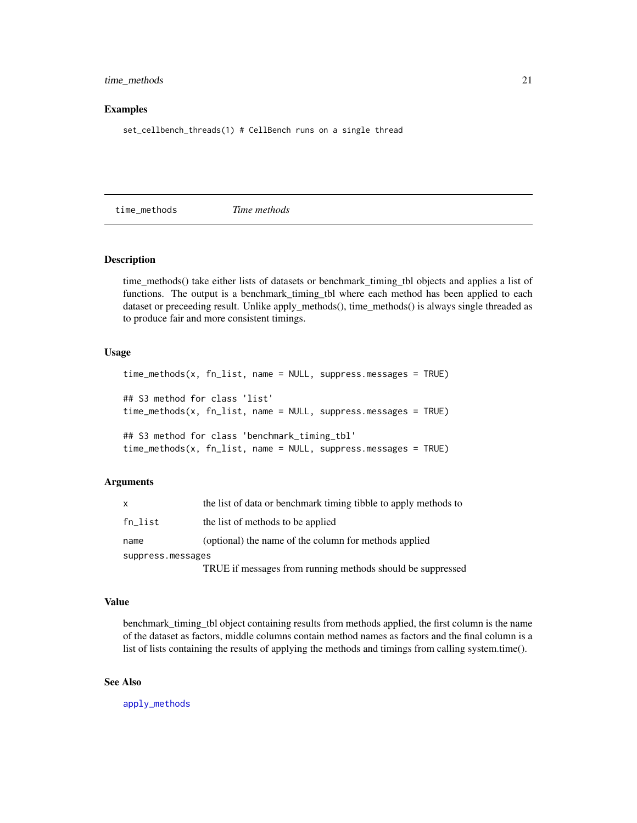#### <span id="page-20-0"></span>time\_methods 21

#### Examples

set\_cellbench\_threads(1) # CellBench runs on a single thread

<span id="page-20-1"></span>time\_methods *Time methods*

#### Description

time\_methods() take either lists of datasets or benchmark\_timing\_tbl objects and applies a list of functions. The output is a benchmark\_timing\_tbl where each method has been applied to each dataset or preceeding result. Unlike apply\_methods(), time\_methods() is always single threaded as to produce fair and more consistent timings.

#### Usage

```
time_methods(x, fn_list, name = NULL, suppress.messages = TRUE)
## S3 method for class 'list'
time_methods(x, fn_list, name = NULL, suppress.messages = TRUE)
## S3 method for class 'benchmark_timing_tbl'
time_methods(x, fn_list, name = NULL, suppress.messages = TRUE)
```
#### Arguments

| X                 | the list of data or benchmark timing tibble to apply methods to |
|-------------------|-----------------------------------------------------------------|
| $fn\_list$        | the list of methods to be applied                               |
| name              | (optional) the name of the column for methods applied           |
| suppress.messages |                                                                 |
|                   | TRUE if messages from running methods should be suppressed      |

#### Value

benchmark\_timing\_tbl object containing results from methods applied, the first column is the name of the dataset as factors, middle columns contain method names as factors and the final column is a list of lists containing the results of applying the methods and timings from calling system.time().

#### See Also

[apply\\_methods](#page-3-1)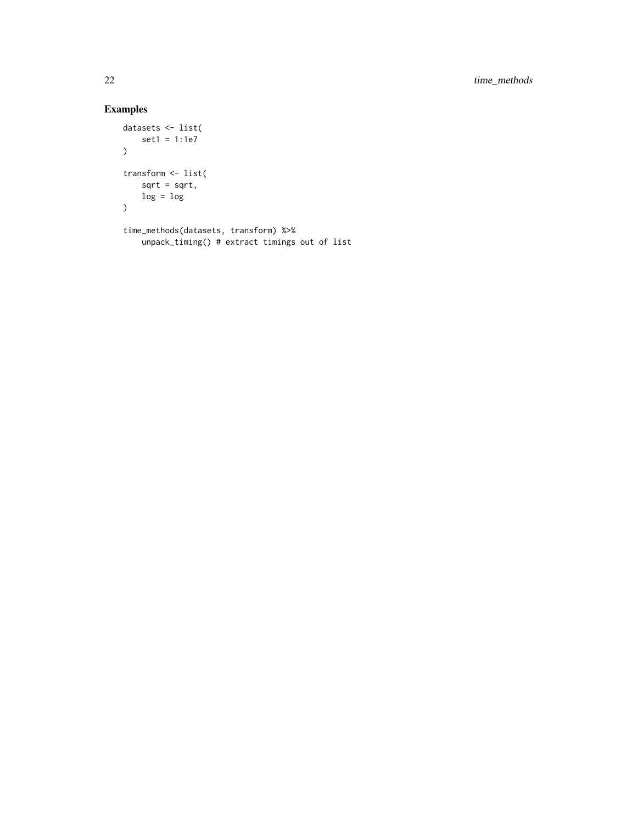```
datasets <- list(
    set1 = 1:1e7
)
transform <- list(
    sqrt = sqrt,
    log = log
\mathcal{L}time_methods(datasets, transform) %>%
    unpack_timing() # extract timings out of list
```